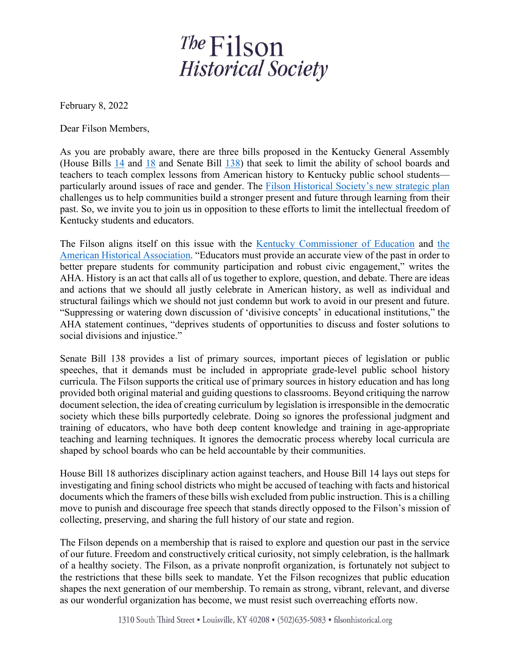## The Filson **Historical Society**

February 8, 2022

Dear Filson Members,

As you are probably aware, there are three bills proposed in the Kentucky General Assembly (House Bills [14](https://apps.legislature.ky.gov/record/22rs/hb14.html) and [18](https://apps.legislature.ky.gov/record/22rs/hb18.html) and Senate Bill [138\)](https://apps.legislature.ky.gov/record/22rs/sb138.html) that seek to limit the ability of school boards and teachers to teach complex lessons from American history to Kentucky public school students particularly around issues of race and gender. The [Filson Historical Society's new strategic plan](https://filsonhistorical.org/about-us/mission/) challenges us to help communities build a stronger present and future through learning from their past. So, we invite you to join us in opposition to these efforts to limit the intellectual freedom of Kentucky students and educators.

The Filson aligns itself on this issue with the [Kentucky Commissioner of Education](https://content.govdelivery.com/accounts/KYDE/bulletins/3097944) and [the](https://www.historians.org/news-and-advocacy/joint-statement-on-divisive-concepts-legislation-(june-2021))  [American Historical Association.](https://www.historians.org/news-and-advocacy/joint-statement-on-divisive-concepts-legislation-(june-2021)) "Educators must provide an accurate view of the past in order to better prepare students for community participation and robust civic engagement," writes the AHA. History is an act that calls all of us together to explore, question, and debate. There are ideas and actions that we should all justly celebrate in American history, as well as individual and structural failings which we should not just condemn but work to avoid in our present and future. "Suppressing or watering down discussion of 'divisive concepts' in educational institutions," the AHA statement continues, "deprives students of opportunities to discuss and foster solutions to social divisions and injustice."

Senate Bill 138 provides a list of primary sources, important pieces of legislation or public speeches, that it demands must be included in appropriate grade-level public school history curricula. The Filson supports the critical use of primary sources in history education and has long provided both original material and guiding questions to classrooms. Beyond critiquing the narrow document selection, the idea of creating curriculum by legislation is irresponsible in the democratic society which these bills purportedly celebrate. Doing so ignores the professional judgment and training of educators, who have both deep content knowledge and training in age-appropriate teaching and learning techniques. It ignores the democratic process whereby local curricula are shaped by school boards who can be held accountable by their communities.

House Bill 18 authorizes disciplinary action against teachers, and House Bill 14 lays out steps for investigating and fining school districts who might be accused of teaching with facts and historical documents which the framers of these bills wish excluded from public instruction. This is a chilling move to punish and discourage free speech that stands directly opposed to the Filson's mission of collecting, preserving, and sharing the full history of our state and region.

The Filson depends on a membership that is raised to explore and question our past in the service of our future. Freedom and constructively critical curiosity, not simply celebration, is the hallmark of a healthy society. The Filson, as a private nonprofit organization, is fortunately not subject to the restrictions that these bills seek to mandate. Yet the Filson recognizes that public education shapes the next generation of our membership. To remain as strong, vibrant, relevant, and diverse as our wonderful organization has become, we must resist such overreaching efforts now.